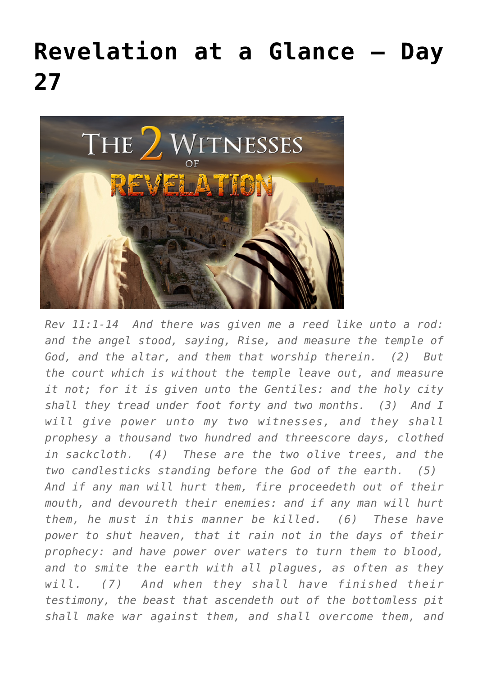## **[Revelation at a Glance – Day](https://maranatha.earnestlycontending.com/2022/06/20/revelation-at-a-glance-day-27/) [27](https://maranatha.earnestlycontending.com/2022/06/20/revelation-at-a-glance-day-27/)**



*Rev 11:1-14 And there was given me a reed like unto a rod: and the angel stood, saying, Rise, and measure the temple of God, and the altar, and them that worship therein. (2) But the court which is without the temple leave out, and measure it not; for it is given unto the Gentiles: and the holy city shall they tread under foot forty and two months. (3) And I will give power unto my two witnesses, and they shall prophesy a thousand two hundred and threescore days, clothed in sackcloth. (4) These are the two olive trees, and the two candlesticks standing before the God of the earth. (5) And if any man will hurt them, fire proceedeth out of their mouth, and devoureth their enemies: and if any man will hurt them, he must in this manner be killed. (6) These have power to shut heaven, that it rain not in the days of their prophecy: and have power over waters to turn them to blood, and to smite the earth with all plagues, as often as they will. (7) And when they shall have finished their testimony, the beast that ascendeth out of the bottomless pit shall make war against them, and shall overcome them, and*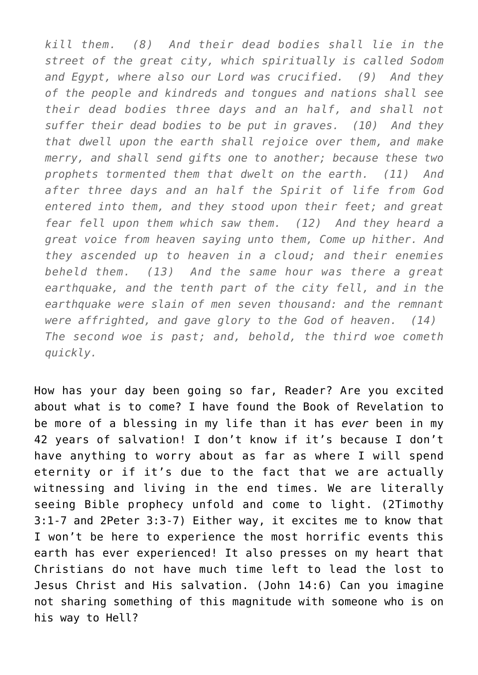*kill them. (8) And their dead bodies shall lie in the street of the great city, which spiritually is called Sodom and Egypt, where also our Lord was crucified. (9) And they of the people and kindreds and tongues and nations shall see their dead bodies three days and an half, and shall not suffer their dead bodies to be put in graves. (10) And they that dwell upon the earth shall rejoice over them, and make merry, and shall send gifts one to another; because these two prophets tormented them that dwelt on the earth. (11) And after three days and an half the Spirit of life from God entered into them, and they stood upon their feet; and great fear fell upon them which saw them. (12) And they heard a great voice from heaven saying unto them, Come up hither. And they ascended up to heaven in a cloud; and their enemies beheld them. (13) And the same hour was there a great earthquake, and the tenth part of the city fell, and in the earthquake were slain of men seven thousand: and the remnant were affrighted, and gave glory to the God of heaven. (14) The second woe is past; and, behold, the third woe cometh quickly.*

How has your day been going so far, Reader? Are you excited about what is to come? I have found the Book of Revelation to be more of a blessing in my life than it has *ever* been in my 42 years of salvation! I don't know if it's because I don't have anything to worry about as far as where I will spend eternity or if it's due to the fact that we are actually witnessing and living in the end times. We are literally seeing Bible prophecy unfold and come to light. (2Timothy 3:1-7 and 2Peter 3:3-7) Either way, it excites me to know that I won't be here to experience the most horrific events this earth has ever experienced! It also presses on my heart that Christians do not have much time left to lead the lost to Jesus Christ and His salvation. (John 14:6) Can you imagine not sharing something of this magnitude with someone who is on his way to Hell?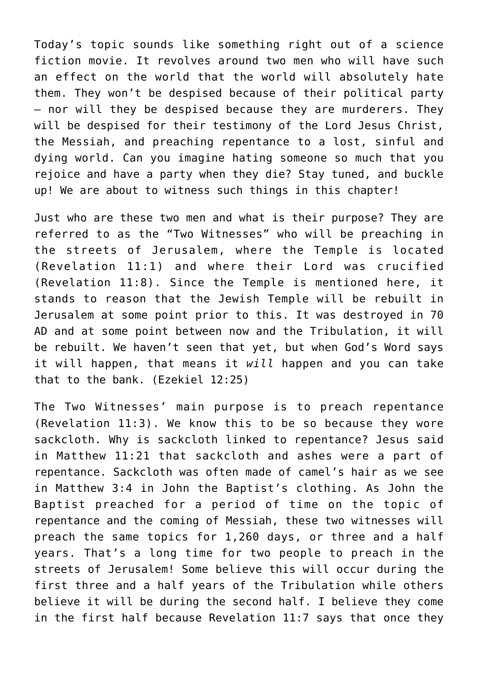Today's topic sounds like something right out of a science fiction movie. It revolves around two men who will have such an effect on the world that the world will absolutely hate them. They won't be despised because of their political party – nor will they be despised because they are murderers. They will be despised for their testimony of the Lord Jesus Christ, the Messiah, and preaching repentance to a lost, sinful and dying world. Can you imagine hating someone so much that you rejoice and have a party when they die? Stay tuned, and buckle up! We are about to witness such things in this chapter!

Just who are these two men and what is their purpose? They are referred to as the "Two Witnesses" who will be preaching in the streets of Jerusalem, where the Temple is located (Revelation 11:1) and where their Lord was crucified (Revelation 11:8). Since the Temple is mentioned here, it stands to reason that the Jewish Temple will be rebuilt in Jerusalem at some point prior to this. It was destroyed in 70 AD and at some point between now and the Tribulation, it will be rebuilt. We haven't seen that yet, but when God's Word says it will happen, that means it *will* happen and you can take that to the bank. (Ezekiel 12:25)

The Two Witnesses' main purpose is to preach repentance (Revelation 11:3). We know this to be so because they wore sackcloth. Why is sackcloth linked to repentance? Jesus said in Matthew 11:21 that sackcloth and ashes were a part of repentance. Sackcloth was often made of camel's hair as we see in Matthew 3:4 in John the Baptist's clothing. As John the Baptist preached for a period of time on the topic of repentance and the coming of Messiah, these two witnesses will preach the same topics for 1,260 days, or three and a half years. That's a long time for two people to preach in the streets of Jerusalem! Some believe this will occur during the first three and a half years of the Tribulation while others believe it will be during the second half. I believe they come in the first half because Revelation 11:7 says that once they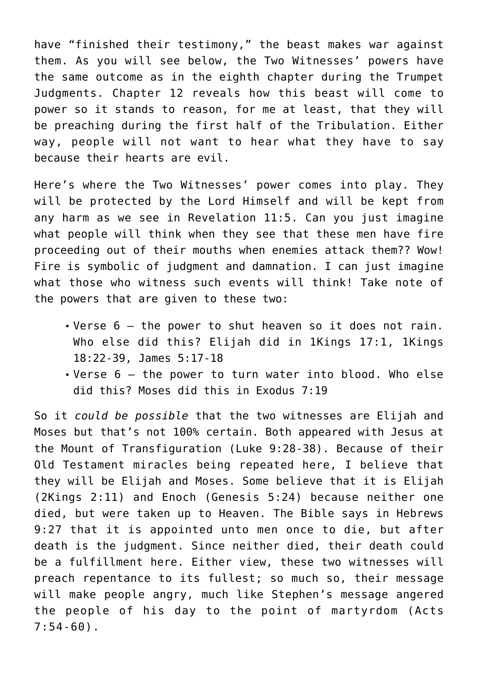have "finished their testimony," the beast makes war against them. As you will see below, the Two Witnesses' powers have the same outcome as in the eighth chapter during the Trumpet Judgments. Chapter 12 reveals how this beast will come to power so it stands to reason, for me at least, that they will be preaching during the first half of the Tribulation. Either way, people will not want to hear what they have to say because their hearts are evil.

Here's where the Two Witnesses' power comes into play. They will be protected by the Lord Himself and will be kept from any harm as we see in Revelation 11:5. Can you just imagine what people will think when they see that these men have fire proceeding out of their mouths when enemies attack them?? Wow! Fire is symbolic of judgment and damnation. I can just imagine what those who witness such events will think! Take note of the powers that are given to these two:

- Verse 6 the power to shut heaven so it does not rain. Who else did this? Elijah did in 1Kings 17:1, 1Kings 18:22-39, James 5:17-18
- Verse 6 the power to turn water into blood. Who else did this? Moses did this in Exodus 7:19

So it *could be possible* that the two witnesses are Elijah and Moses but that's not 100% certain. Both appeared with Jesus at the Mount of Transfiguration (Luke 9:28-38). Because of their Old Testament miracles being repeated here, I believe that they will be Elijah and Moses. Some believe that it is Elijah (2Kings 2:11) and Enoch (Genesis 5:24) because neither one died, but were taken up to Heaven. The Bible says in Hebrews 9:27 that it is appointed unto men once to die, but after death is the judgment. Since neither died, their death could be a fulfillment here. Either view, these two witnesses will preach repentance to its fullest; so much so, their message will make people angry, much like Stephen's message angered the people of his day to the point of martyrdom (Acts 7:54-60).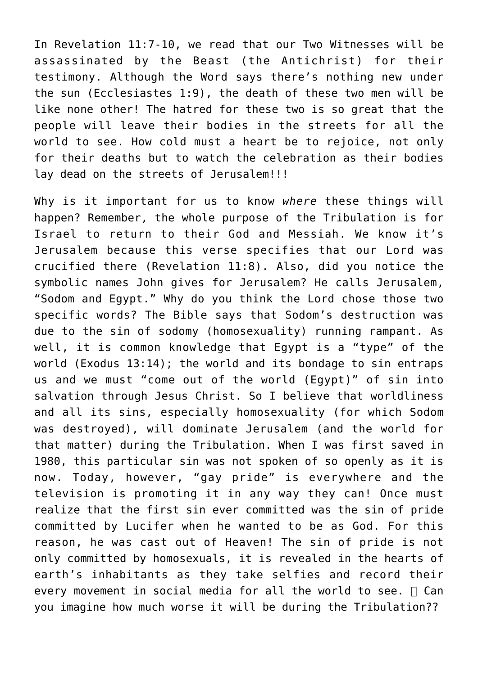In Revelation 11:7-10, we read that our Two Witnesses will be assassinated by the Beast (the Antichrist) for their testimony. Although the Word says there's nothing new under the sun (Ecclesiastes 1:9), the death of these two men will be like none other! The hatred for these two is so great that the people will leave their bodies in the streets for all the world to see. How cold must a heart be to rejoice, not only for their deaths but to watch the celebration as their bodies lay dead on the streets of Jerusalem!!!

Why is it important for us to know *where* these things will happen? Remember, the whole purpose of the Tribulation is for Israel to return to their God and Messiah. We know it's Jerusalem because this verse specifies that our Lord was crucified there (Revelation 11:8). Also, did you notice the symbolic names John gives for Jerusalem? He calls Jerusalem, "Sodom and Egypt." Why do you think the Lord chose those two specific words? The Bible says that Sodom's destruction was due to the sin of sodomy (homosexuality) running rampant. As well, it is common knowledge that Egypt is a "type" of the world (Exodus 13:14); the world and its bondage to sin entraps us and we must "come out of the world (Egypt)" of sin into salvation through Jesus Christ. So I believe that worldliness and all its sins, especially homosexuality (for which Sodom was destroyed), will dominate Jerusalem (and the world for that matter) during the Tribulation. When I was first saved in 1980, this particular sin was not spoken of so openly as it is now. Today, however, "gay pride" is everywhere and the television is promoting it in any way they can! Once must realize that the first sin ever committed was the sin of pride committed by Lucifer when he wanted to be as God. For this reason, he was cast out of Heaven! The sin of pride is not only committed by homosexuals, it is revealed in the hearts of earth's inhabitants as they take selfies and record their every movement in social media for all the world to see.  $\Box$  Can you imagine how much worse it will be during the Tribulation??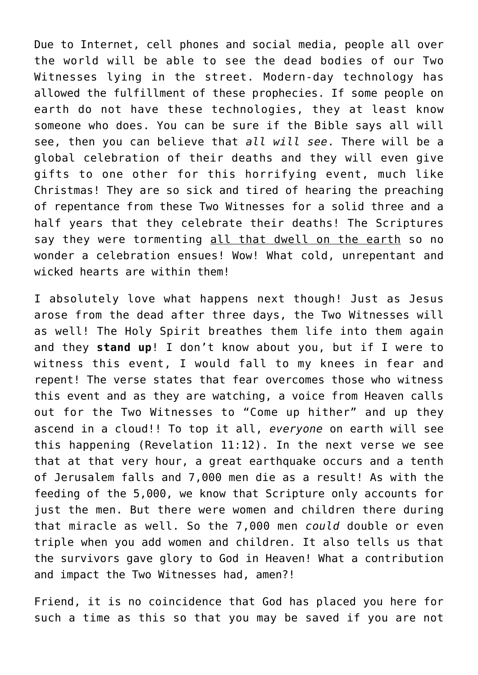Due to Internet, cell phones and social media, people all over the world will be able to see the dead bodies of our Two Witnesses lying in the street. Modern-day technology has allowed the fulfillment of these prophecies. If some people on earth do not have these technologies, they at least know someone who does. You can be sure if the Bible says all will see, then you can believe that *all will see*. There will be a global celebration of their deaths and they will even give gifts to one other for this horrifying event, much like Christmas! They are so sick and tired of hearing the preaching of repentance from these Two Witnesses for a solid three and a half years that they celebrate their deaths! The Scriptures say they were tormenting all that dwell on the earth so no wonder a celebration ensues! Wow! What cold, unrepentant and wicked hearts are within them!

I absolutely love what happens next though! Just as Jesus arose from the dead after three days, the Two Witnesses will as well! The Holy Spirit breathes them life into them again and they **stand up**! I don't know about you, but if I were to witness this event, I would fall to my knees in fear and repent! The verse states that fear overcomes those who witness this event and as they are watching, a voice from Heaven calls out for the Two Witnesses to "Come up hither" and up they ascend in a cloud!! To top it all, *everyone* on earth will see this happening (Revelation 11:12). In the next verse we see that at that very hour, a great earthquake occurs and a tenth of Jerusalem falls and 7,000 men die as a result! As with the feeding of the 5,000, we know that Scripture only accounts for just the men. But there were women and children there during that miracle as well. So the 7,000 men *could* double or even triple when you add women and children. It also tells us that the survivors gave glory to God in Heaven! What a contribution and impact the Two Witnesses had, amen?!

Friend, it is no coincidence that God has placed you here for such a time as this so that you may be saved if you are not